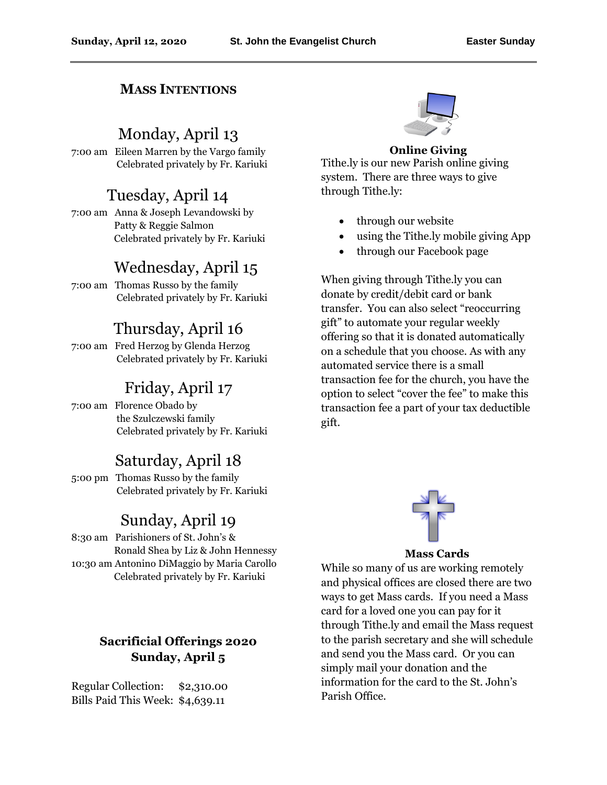#### **MASS INTENTIONS**

#### Monday, April 13

7:00 am Eileen Marren by the Vargo family Celebrated privately by Fr. Kariuki

#### Tuesday, April 14

7:00 am Anna & Joseph Levandowski by Patty & Reggie Salmon Celebrated privately by Fr. Kariuki

## Wednesday, April 15

7:00 am Thomas Russo by the family Celebrated privately by Fr. Kariuki

## Thursday, April 16

7:00 am Fred Herzog by Glenda Herzog Celebrated privately by Fr. Kariuki

#### Friday, April 17

7:00 am Florence Obado by the Szulczewski family Celebrated privately by Fr. Kariuki

#### Saturday, April 18

5:00 pm Thomas Russo by the family Celebrated privately by Fr. Kariuki

# Sunday, April 19

8:30 am Parishioners of St. John's & Ronald Shea by Liz & John Hennessy 10:30 am Antonino DiMaggio by Maria Carollo Celebrated privately by Fr. Kariuki

#### **Sacrificial Offerings 2020 Sunday, April 5**

Regular Collection: \$2,310.00 Bills Paid This Week: \$4,639.11



#### **Online Giving**

Tithe.ly is our new Parish online giving system. There are three ways to give through Tithe.ly:

- through our website
- using the Tithe.ly mobile giving App
- through our Facebook page

When giving through Tithe.ly you can donate by credit/debit card or bank transfer. You can also select "reoccurring gift" to automate your regular weekly offering so that it is donated automatically on a schedule that you choose. As with any automated service there is a small transaction fee for the church, you have the option to select "cover the fee" to make this transaction fee a part of your tax deductible gift.



**Mass Cards**

While so many of us are working remotely and physical offices are closed there are two ways to get Mass cards. If you need a Mass card for a loved one you can pay for it through Tithe.ly and email the Mass request to the parish secretary and she will schedule and send you the Mass card. Or you can simply mail your donation and the information for the card to the St. John's Parish Office.